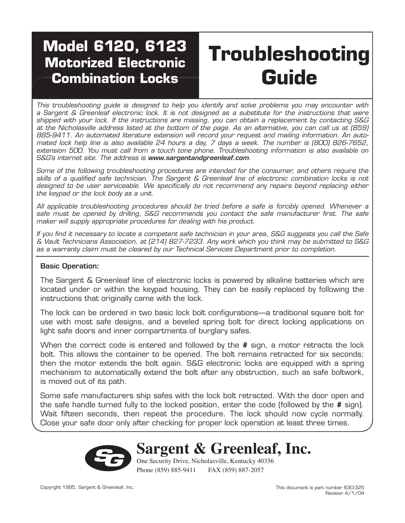# **Model 6120, 6123 Motorized Electronic Combination Locks**

# **Troubleshooting Guide**

This troubleshooting guide is designed to help you identify and solve problems you may encounter with a Sargent & Greenleaf electronic lock. It is not designed as a substitute for the instructions that were shipped with your lock. If the instructions are missing, you can obtain a replacement by contacting S&G at the Nicholasville address listed at the bottom of the page. As an alternative, you can call us at (859) 885-9411. An automated literature extension will record your request and mailing information. An automated lock help line is also available 24 hours a day, 7 days a week. The number is (800) 826-7652, extension 500. You must call from a touch tone phone. Troubleshooting information is also available on S&G's internet site. The address is www.sargentandgreenleaf.com.

Some of the following troubleshooting procedures are intended for the consumer, and others require the skills of a qualified safe technician. The Sargent & Greenleaf line of electronic combination locks is not designed to be user serviceable. We specifically do not recommend any repairs beyond replacing either the keypad or the lock body as a unit.

All applicable troubleshooting procedures should be tried before a safe is forcibly opened. Whenever a safe must be opened by drilling, S&G recommends you contact the safe manufacturer first. The safe maker will supply appropriate procedures for dealing with his product.

If you find it necessary to locate a competent safe technician in your area, S&G suggests you call the Safe & Vault Technicians Association, at (214) 827-7233. Any work which you think may be submitted to S&G as a warranty claim must be cleared by our Technical Services Department prior to completion.

#### Basic Operation:

The Sargent & Greenleaf line of electronic locks is powered by alkaline batteries which are located under or within the keypad housing. They can be easily replaced by following the instructions that originally came with the lock.

The lock can be ordered in two basic lock bolt configurations—a traditional square bolt for use with most safe designs, and a beveled spring bolt for direct locking applications on light safe doors and inner compartments of burglary safes.

When the correct code is entered and followed by the **#** sign, a motor retracts the lock bolt. This allows the container to be opened. The bolt remains retracted for six seconds; then the motor extends the bolt again. S&G electronic locks are equipped with a spring mechanism to automatically extend the bolt after any obstruction, such as safe boltwork, is moved out of its path.

Some safe manufacturers ship safes with the lock bolt retracted. With the door open and the safe handle turned fully to the locked position, enter the code (followed by the **#** sign). Wait fifteen seconds, then repeat the procedure. The lock should now cycle normally. Close your safe door only after checking for proper lock operation at least three times.



**Sargent & Greenleaf, Inc.**

One Security Drive, Nicholasville, Kentucky 40356 Phone (859) 885-9411 FAX (859) 887-2057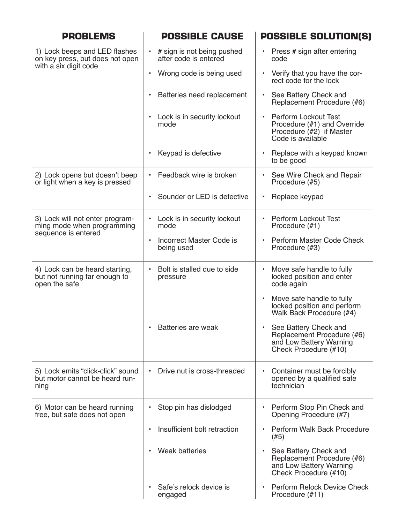| <b>PROBLEMS</b>                                                                           | <b>POSSIBLE CAUSE</b>                               | <b>POSSIBLE SOLUTION(S)</b>                                                                                              |
|-------------------------------------------------------------------------------------------|-----------------------------------------------------|--------------------------------------------------------------------------------------------------------------------------|
| 1) Lock beeps and LED flashes<br>on key press, but does not open<br>with a six digit code | # sign is not being pushed<br>after code is entered | Press # sign after entering<br>٠<br>code                                                                                 |
|                                                                                           | Wrong code is being used<br>$\bullet$               | Verify that you have the cor-<br>$\bullet$<br>rect code for the lock                                                     |
|                                                                                           | Batteries need replacement<br>$\bullet$             | See Battery Check and<br>$\bullet$<br>Replacement Procedure (#6)                                                         |
|                                                                                           | Lock is in security lockout<br>mode                 | <b>Perform Lockout Test</b><br>$\bullet$<br>Procedure (#1) and Override<br>Procedure (#2) if Master<br>Code is available |
|                                                                                           | Keypad is defective                                 | Replace with a keypad known<br>$\bullet$<br>to be good                                                                   |
| 2) Lock opens but doesn't beep<br>or light when a key is pressed                          | Feedback wire is broken                             | See Wire Check and Repair<br>٠<br>Procedure (#5)                                                                         |
|                                                                                           | Sounder or LED is defective<br>$\bullet$            | Replace keypad<br>$\bullet$                                                                                              |
| 3) Lock will not enter program-<br>ming mode when programming<br>sequence is entered      | Lock is in security lockout<br>mode                 | <b>Perform Lockout Test</b><br>$\bullet$<br>Procedure (#1)                                                               |
|                                                                                           | Incorrect Master Code is<br>$\bullet$<br>being used | <b>Perform Master Code Check</b><br>$\bullet$<br>Procedure (#3)                                                          |
| 4) Lock can be heard starting,<br>but not running far enough to<br>open the safe          | Bolt is stalled due to side<br>pressure             | Move safe handle to fully<br>$\bullet$<br>locked position and enter<br>code again                                        |
|                                                                                           |                                                     | Move safe handle to fully<br>$\bullet$<br>locked position and perform<br>Walk Back Procedure (#4)                        |
|                                                                                           | Batteries are weak                                  | See Battery Check and<br>Replacement Procedure (#6)<br>and Low Battery Warning<br>Check Procedure (#10)                  |
| 5) Lock emits "click-click" sound<br>but motor cannot be heard run-<br>ning               | Drive nut is cross-threaded                         | Container must be forcibly<br>$\bullet$<br>opened by a qualified safe<br>technician                                      |
| 6) Motor can be heard running<br>free, but safe does not open                             | Stop pin has dislodged                              | Perform Stop Pin Check and<br>٠<br>Opening Procedure (#7)                                                                |
|                                                                                           | Insufficient bolt retraction                        | Perform Walk Back Procedure<br>$\bullet$<br>(#5)                                                                         |
|                                                                                           | <b>Weak batteries</b>                               | See Battery Check and<br>$\bullet$<br>Replacement Procedure (#6)<br>and Low Battery Warning<br>Check Procedure (#10)     |
|                                                                                           | Safe's relock device is<br>engaged                  | <b>Perform Relock Device Check</b><br>$\bullet$<br>Procedure (#11)                                                       |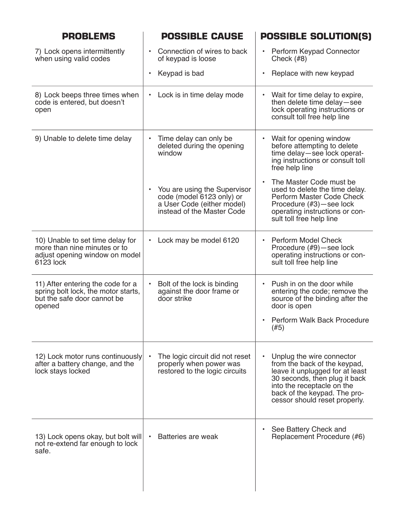| <b>PROBLEMS</b>                                                                                                   | <b>POSSIBLE CAUSE</b>                                                                                                 | <b>POSSIBLE SOLUTION(S)</b>                                                                                                                                                                                                               |
|-------------------------------------------------------------------------------------------------------------------|-----------------------------------------------------------------------------------------------------------------------|-------------------------------------------------------------------------------------------------------------------------------------------------------------------------------------------------------------------------------------------|
| 7) Lock opens intermittently<br>when using valid codes                                                            | Connection of wires to back<br>of keypad is loose                                                                     | Perform Keypad Connector<br>$\bullet$<br>Check $(H8)$                                                                                                                                                                                     |
|                                                                                                                   | Keypad is bad                                                                                                         | Replace with new keypad<br>$\bullet$                                                                                                                                                                                                      |
| 8) Lock beeps three times when<br>code is entered, but doesn't<br>open                                            | Lock is in time delay mode<br>٠                                                                                       | Wait for time delay to expire,<br>$\bullet$<br>then delete time delay-see<br>lock operating instructions or<br>consult toll free help line                                                                                                |
| 9) Unable to delete time delay                                                                                    | Time delay can only be<br>deleted during the opening<br>window                                                        | Wait for opening window<br>$\bullet$<br>before attempting to delete<br>time delay-see lock operat-<br>ing instructions or consult toll<br>free help line                                                                                  |
|                                                                                                                   | You are using the Supervisor<br>code (model 6123 only) or<br>a User Code (either model)<br>instead of the Master Code | The Master Code must be<br>$\bullet$<br>used to delete the time delay.<br>Perform Master Code Check<br>Procedure (#3)-see lock<br>operating instructions or con-<br>sult toll free help line                                              |
| 10) Unable to set time delay for<br>more than nine minutes or to<br>adjust opening window on model<br>6123 lock   | Lock may be model 6120                                                                                                | Perform Model Check<br>$\bullet$<br>Procedure (#9) - see lock<br>operating instructions or con-<br>sult toll free help line                                                                                                               |
| 11) After entering the code for a<br>spring bolt lock, the motor starts,<br>but the safe door cannot be<br>opened | Bolt of the lock is binding<br>against the door frame or<br>door strike                                               | Push in on the door while<br>$\bullet$<br>entering the code; remove the<br>source of the binding after the<br>door is open<br><b>Perform Walk Back Procedure</b><br>$\bullet$<br>(#5)                                                     |
| 12) Lock motor runs continuously<br>after a battery change, and the<br>lock stays locked                          | The logic circuit did not reset<br>properly when power was<br>restored to the logic circuits                          | Unplug the wire connector<br>$\bullet$<br>from the back of the keypad,<br>leave it unplugged for at least<br>30 seconds, then plug it back<br>into the receptacle on the<br>back of the keypad. The pro-<br>cessor should reset properly. |
| 13) Lock opens okay, but bolt will<br>not re-extend far enough to lock<br>safe.                                   | Batteries are weak                                                                                                    | See Battery Check and<br>$\bullet$<br>Replacement Procedure (#6)                                                                                                                                                                          |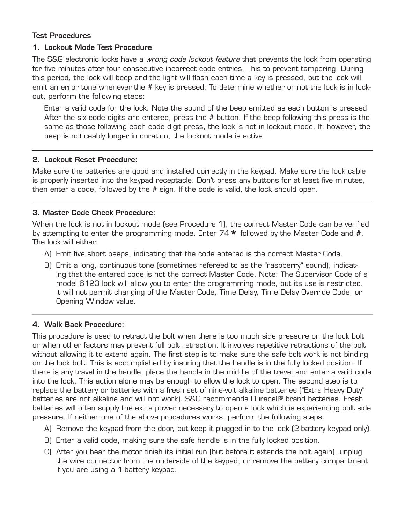# Test Procedures

# 1. Lockout Mode Test Procedure

The S&G electronic locks have a wrong code lockout feature that prevents the lock from operating for five minutes after four consecutive incorrect code entries. This to prevent tampering. During this period, the lock will beep and the light will flash each time a key is pressed, but the lock will emit an error tone whenever the # key is pressed. To determine whether or not the lock is in lockout, perform the following steps:

 Enter a valid code for the lock. Note the sound of the beep emitted as each button is pressed. After the six code digits are entered, press the # button. If the beep following this press is the same as those following each code digit press, the lock is not in lockout mode. If, however, the beep is noticeably longer in duration, the lockout mode is active

# 2. Lockout Reset Procedure:

Make sure the batteries are good and installed correctly in the keypad. Make sure the lock cable is properly inserted into the keypad receptacle. Don't press any buttons for at least five minutes, then enter a code, followed by the # sign. If the code is valid, the lock should open.

# 3. Master Code Check Procedure:

When the lock is not in lockout mode (see Procedure 1), the correct Master Code can be verified by attempting to enter the programming mode. Enter 74**\*** followed by the Master Code and **#**. The lock will either:

- A) Emit five short beeps, indicating that the code entered is the correct Master Code.
- B) Emit a long, continuous tone (sometimes refereed to as the "raspberry" sound), indicating that the entered code is not the correct Master Code. Note: The Supervisor Code of a model 6123 lock will allow you to enter the programming mode, but its use is restricted. It will not permit changing of the Master Code, Time Delay, Time Delay Override Code, or Opening Window value.

# 4. Walk Back Procedure:

This procedure is used to retract the bolt when there is too much side pressure on the lock bolt or when other factors may prevent full bolt retraction. It involves repetitive retractions of the bolt without allowing it to extend again. The first step is to make sure the safe bolt work is not binding on the lock bolt. This is accomplished by insuring that the handle is in the fully locked position. If there is any travel in the handle, place the handle in the middle of the travel and enter a valid code into the lock. This action alone may be enough to allow the lock to open. The second step is to replace the battery or batteries with a fresh set of nine-volt alkaline batteries ("Extra Heavy Duty" batteries are not alkaline and will not work). S&G recommends Duracell® brand batteries. Fresh batteries will often supply the extra power necessary to open a lock which is experiencing bolt side pressure. If neither one of the above procedures works, perform the following steps:

- A) Remove the keypad from the door, but keep it plugged in to the lock (2-battery keypad only).
- B) Enter a valid code, making sure the safe handle is in the fully locked position.
- C) After you hear the motor finish its initial run (but before it extends the bolt again), unplug the wire connector from the underside of the keypad, or remove the battery compartment if you are using a 1-battery keypad.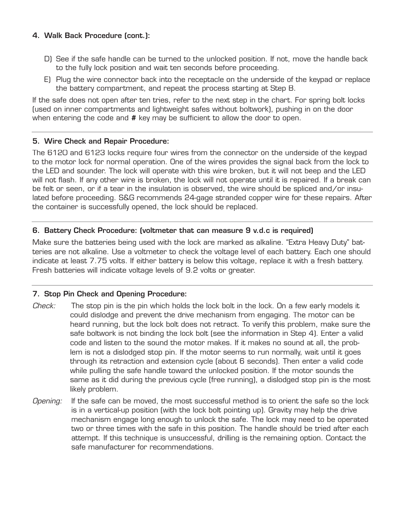# 4. Walk Back Procedure (cont.):

- D) See if the safe handle can be turned to the unlocked position. If not, move the handle back to the fully lock position and wait ten seconds before proceeding.
- E) Plug the wire connector back into the receptacle on the underside of the keypad or replace the battery compartment, and repeat the process starting at Step B.

If the safe does not open after ten tries, refer to the next step in the chart. For spring bolt locks (used on inner compartments and lightweight safes without boltwork), pushing in on the door when entering the code and **#** key may be sufficient to allow the door to open.

# 5. Wire Check and Repair Procedure:

The 6120 and 6123 locks require four wires from the connector on the underside of the keypad to the motor lock for normal operation. One of the wires provides the signal back from the lock to the LED and sounder. The lock will operate with this wire broken, but it will not beep and the LED will not flash. If any other wire is broken, the lock will not operate until it is repaired. If a break can be felt or seen, or if a tear in the insulation is observed, the wire should be spliced and/or insulated before proceeding. S&G recommends 24-gage stranded copper wire for these repairs. After the container is successfully opened, the lock should be replaced.

# 6. Battery Check Procedure: (voltmeter that can measure 9 v.d.c is required)

Make sure the batteries being used with the lock are marked as alkaline. "Extra Heavy Duty" batteries are not alkaline. Use a voltmeter to check the voltage level of each battery. Each one should indicate at least 7.75 volts. If either battery is below this voltage, replace it with a fresh battery. Fresh batteries will indicate voltage levels of 9.2 volts or greater.

# 7. Stop Pin Check and Opening Procedure:

- Check: The stop pin is the pin which holds the lock bolt in the lock. On a few early models it could dislodge and prevent the drive mechanism from engaging. The motor can be heard running, but the lock bolt does not retract. To verify this problem, make sure the safe boltwork is not binding the lock bolt (see the information in Step 4). Enter a valid code and listen to the sound the motor makes. If it makes no sound at all, the problem is not a dislodged stop pin. If the motor seems to run normally, wait until it goes through its retraction and extension cycle (about 6 seconds). Then enter a valid code while pulling the safe handle toward the unlocked position. If the motor sounds the same as it did during the previous cycle (free running), a dislodged stop pin is the most likely problem.
- Opening: If the safe can be moved, the most successful method is to orient the safe so the lock is in a vertical-up position (with the lock bolt pointing up). Gravity may help the drive mechanism engage long enough to unlock the safe. The lock may need to be operated two or three times with the safe in this position. The handle should be tried after each attempt. If this technique is unsuccessful, drilling is the remaining option. Contact the safe manufacturer for recommendations.